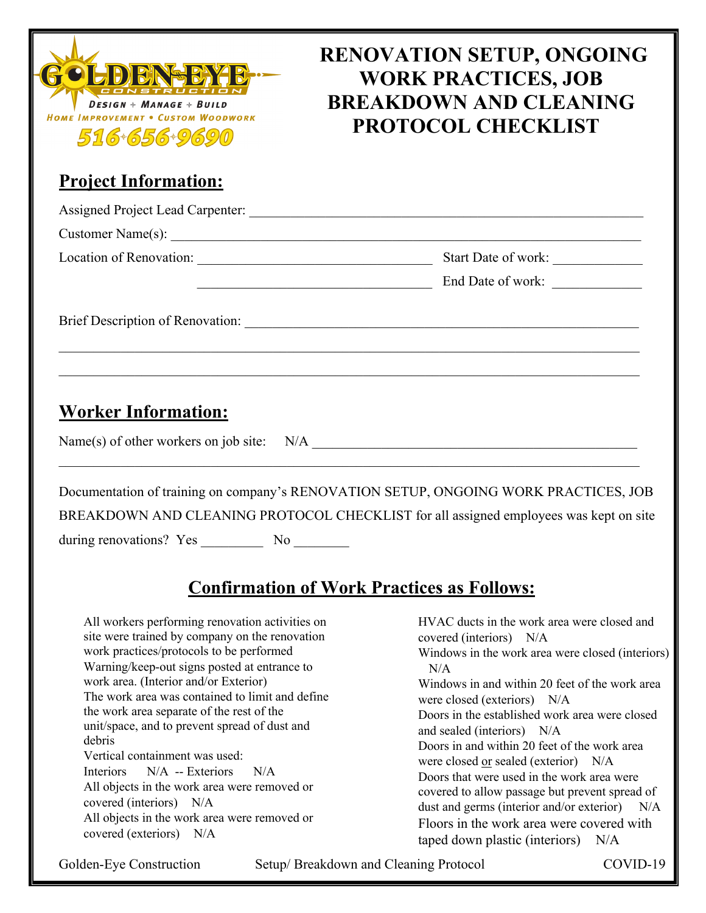

# **RENOVATION SETUP, ONGOING WORK PRACTICES, JOB BREAKDOWN AND CLEANING PROTOCOL CHECKLIST**

## **Project Information:**

|                            | Start Date of work:                                                                  |
|----------------------------|--------------------------------------------------------------------------------------|
|                            |                                                                                      |
|                            |                                                                                      |
| <b>Worker Information:</b> |                                                                                      |
|                            |                                                                                      |
|                            | Documentation of training on company's RENOVATION SETUP, ONGOING WORK PRACTICES, JOB |

BREAKDOWN AND CLEANING PROTOCOL CHECKLIST for all assigned employees was kept on site

during renovations? Yes \_\_\_\_\_\_\_\_\_\_ No \_\_\_\_\_\_\_\_

# **Confirmation of Work Practices as Follows:**

 All workers performing renovation activities on site were trained by company on the renovation work practices/protocols to be performed Warning/keep-out signs posted at entrance to work area. (Interior and/or Exterior) The work area was contained to limit and define the work area separate of the rest of the unit/space, and to prevent spread of dust and debris Vertical containment was used: Interiors N/A -- Exteriors N/A All objects in the work area were removed or covered (interiors) N/A All objects in the work area were removed or covered (exteriors) N/A HVAC ducts in the work area were closed and covered (interiors) N/A Windows in the work area were closed (interiors) N/A Windows in and within 20 feet of the work area were closed (exteriors) N/A Doors in the established work area were closed and sealed (interiors) N/A Doors in and within 20 feet of the work area were closed or sealed (exterior) N/A Doors that were used in the work area were covered to allow passage but prevent spread of dust and germs (interior and/or exterior) N/A Floors in the work area were covered with taped down plastic (interiors) N/A

Golden-Eye Construction Setup/ Breakdown and Cleaning Protocol COVID-19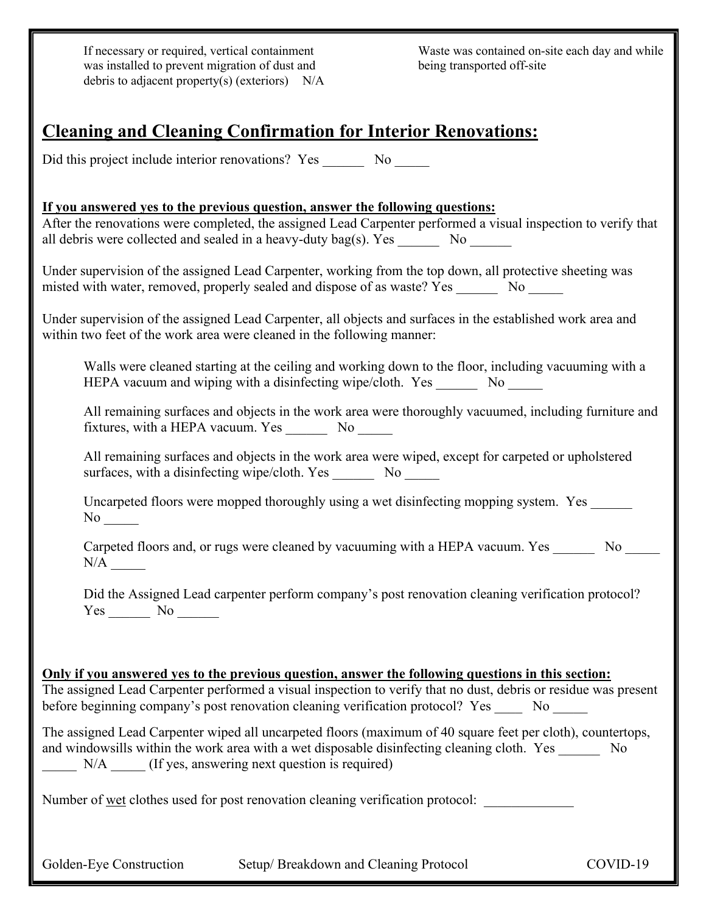If necessary or required, vertical containment was installed to prevent migration of dust and debris to adjacent property(s) (exteriors) N/A

 Waste was contained on-site each day and while being transported off-site

### **Cleaning and Cleaning Confirmation for Interior Renovations:**

Did this project include interior renovations? Yes No

**If you answered yes to the previous question, answer the following questions:** After the renovations were completed, the assigned Lead Carpenter performed a visual inspection to verify that all debris were collected and sealed in a heavy-duty bag(s). Yes  $\qquad$  No

Under supervision of the assigned Lead Carpenter, working from the top down, all protective sheeting was misted with water, removed, properly sealed and dispose of as waste? Yes No

Under supervision of the assigned Lead Carpenter, all objects and surfaces in the established work area and within two feet of the work area were cleaned in the following manner:

Walls were cleaned starting at the ceiling and working down to the floor, including vacuuming with a HEPA vacuum and wiping with a disinfecting wipe/cloth. Yes No

All remaining surfaces and objects in the work area were thoroughly vacuumed, including furniture and fixtures, with a HEPA vacuum. Yes \_\_\_\_\_\_\_\_ No \_\_\_\_\_\_

All remaining surfaces and objects in the work area were wiped, except for carpeted or upholstered surfaces, with a disinfecting wipe/cloth. Yes No

Uncarpeted floors were mopped thoroughly using a wet disinfecting mopping system. Yes No  $\mathbb{R}$ 

Carpeted floors and, or rugs were cleaned by vacuuming with a HEPA vacuum. Yes \_\_\_\_\_\_\_ No \_\_\_\_ N/A \_\_\_\_\_

Did the Assigned Lead carpenter perform company's post renovation cleaning verification protocol? Yes \_\_\_\_\_\_ No \_\_\_\_\_\_

| Only if you answered yes to the previous question, answer the following questions in this section:              |
|-----------------------------------------------------------------------------------------------------------------|
| The assigned Lead Carpenter performed a visual inspection to verify that no dust, debris or residue was present |
| before beginning company's post renovation cleaning verification protocol? Yes<br>No                            |
| The assigned Lead Carpenter wiped all uncarpeted floors (maximum of 40 square feet per cloth), countertops,     |
| and windowsills within the work area with a wet disposable disinfecting cleaning cloth. Yes<br>No               |

N/A  $\qquad$  (If yes, answering next question is required)

Number of wet clothes used for post renovation cleaning verification protocol:

Golden-Eye Construction Setup/ Breakdown and Cleaning Protocol COVID-19